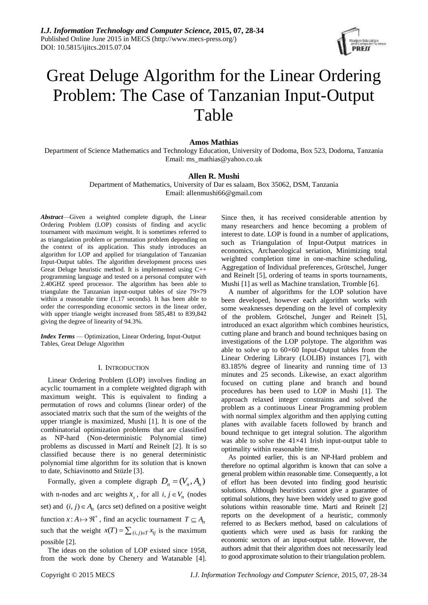

# Great Deluge Algorithm for the Linear Ordering Problem: The Case of Tanzanian Input-Output Table

# **Amos Mathias**

Department of Science Mathematics and Technology Education, University of Dodoma, Box 523, Dodoma, Tanzania Email: [ms\\_mathias@yahoo.co.uk](mailto:ms_mathias@yahoo.co.uk)

# **Allen R. Mushi**

Department of Mathematics, University of Dar es salaam, Box 35062, DSM, Tanzania Email: [allenmushi66@gmail.com](mailto:allenmushi66@gmail.com)

*Abstract*—Given a weighted complete digraph, the Linear Ordering Problem (LOP) consists of finding and acyclic tournament with maximum weight. It is sometimes referred to as triangulation problem or permutation problem depending on the context of its application. This study introduces an algorithm for LOP and applied for triangulation of Tanzanian Input-Output tables. The algorithm development process uses Great Deluge heuristic method. It is implemented using C++ programming language and tested on a personal computer with 2.40GHZ speed processor. The algorithm has been able to triangulate the Tanzanian input-output tables of size 79×79 within a reasonable time (1.17 seconds). It has been able to order the corresponding economic sectors in the linear order, with upper triangle weight increased from 585,481 to 839,842 giving the degree of linearity of 94.3%.

*Index Terms* — Optimization, Linear Ordering, Input-Output Tables, Great Deluge Algorithm

# I. INTRODUCTION

Linear Ordering Problem (LOP) involves finding an acyclic tournament in a complete weighted digraph with maximum weight. This is equivalent to finding a permutation of rows and columns (linear order) of the associated matrix such that the sum of the weights of the upper triangle is maximized, Mushi [1]. It is one of the combinatorial optimization problems that are classified as NP-hard (Non-deterministic Polynomial time) problems as discussed in Martí and Reinelt [2]. It is so classified because there is no general deterministic polynomial time algorithm for its solution that is known to date, Schiavinotto and Stüzle [3].

Formally, given a complete digraph  $D_n = (V_n, A_n)$ with n-nodes and arc weights  $x_{ij}$ , for all  $i, j \in V_n$  (nodes set) and  $(i, j) \in A_n$  (arcs set) defined on a positive weight function  $x: A \mapsto \mathfrak{R}^+$ , find an acyclic tournament  $T \subseteq A_n$ such that the weight  $x(T) = \sum_{(i,j)\in T} x_{ij}$  is the maximum possible [2].

The ideas on the solution of LOP existed since 1958, from the work done by Chenery and Watanable [4]. Since then, it has received considerable attention by many researchers and hence becoming a problem of interest to date. LOP is found in a number of applications, such as Triangulation of Input-Output matrices in economics, Archaeological seriation, Minimizing total weighted completion time in one-machine scheduling, Aggregation of Individual preferences, Grötschel, Junger and Reinelt [5], ordering of teams in sports tournaments, Mushi [1] as well as Machine translation, Tromble [6].

A number of algorithms for the LOP solution have been developed, however each algorithm works with some weaknesses depending on the level of complexity of the problem. Grötschel, Junger and Reinelt [5], introduced an exact algorithm which combines heuristics, cutting plane and branch and bound techniques basing on investigations of the LOP polytope. The algorithm was able to solve up to  $60\times60$  Input-Output tables from the Linear Ordering Library (LOLIB) instances [7], with 83.185% degree of linearity and running time of 13 minutes and 25 seconds. Likewise, an exact algorithm focused on cutting plane and branch and bound procedures has been used to LOP in Mushi [1]. The approach relaxed integer constraints and solved the problem as a continuous Linear Programming problem with normal simplex algorithm and then applying cutting planes with available facets followed by branch and bound technique to get integral solution. The algorithm was able to solve the 41×41 Irish input-output table to optimality within reasonable time.

As pointed earlier, this is an NP-Hard problem and therefore no optimal algorithm is known that can solve a general problem within reasonable time. Consequently, a lot of effort has been devoted into finding good heuristic solutions. Although heuristics cannot give a guarantee of optimal solutions, they have been widely used to give good solutions within reasonable time. Marti and Reinelt [2] reports on the development of a heuristic, commonly referred to as Beckers method, based on calculations of quotients which were used as basis for ranking the economic sectors of an input-output table. However, the authors admit that their algorithm does not necessarily lead to good approximate solution to their triangulation problem.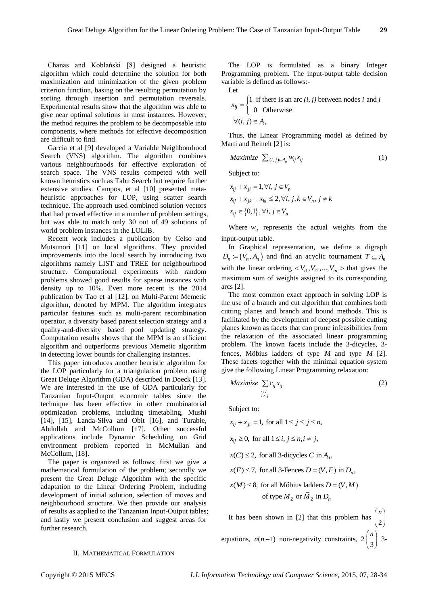Chanas and Koblański [8] designed a heuristic algorithm which could determine the solution for both maximization and minimization of the given problem criterion function, basing on the resulting permutation by sorting through insertion and permutation reversals. Experimental results show that the algorithm was able to give near optimal solutions in most instances. However, the method requires the problem to be decomposable into components, where methods for effective decomposition are difficult to find.

Garcia et al [9] developed a Variable Neighbourhood Search (VNS) algorithm. The algorithm combines various neighbourhoods for effective exploration of search space. The VNS results competed with well known heuristics such as Tabu Search but require further extensive studies. Campos, et al [10] presented metaheuristic approaches for LOP, using scatter search technique. The approach used combined solution vectors that had proved effective in a number of problem settings, but was able to match only 30 out of 49 solutions of world problem instances in the LOLIB.

Recent work includes a publication by Celso and Mutsunori [11] on local algorithms. They provided improvements into the local search by introducing two algorithms namely LIST and TREE for neighbourhood structure. Computational experiments with random problems showed good results for sparse instances with density up to 10%. Even more recent is the 2014 publication by Tao et al [12], on Multi-Parent Memetic algorithm, denoted by MPM. The algorithm integrates particular features such as multi-parent recombination operator, a diversity based parent selection strategy and a quality-and-diversity based pool updating strategy. Computation results shows that the MPM is an efficient algorithm and outperforms previous Memetic algorithm in detecting lower bounds for challenging instances.

This paper introduces another heuristic algorithm for the LOP particularly for a triangulation problem using Great Deluge Algorithm (GDA) described in Doeck [13]. We are interested in the use of GDA particularly for Tanzanian Input-Output economic tables since the technique has been effective in other combinatorial optimization problems, including timetabling, Mushi [14], [15], Landa-Silva and Obit [16], and Turabie, Abdullah and McCollum [17]. Other successful applications include Dynamic Scheduling on Grid environment problem reported in McMullan and McCollum, [18].

The paper is organized as follows; first we give a mathematical formulation of the problem; secondly we present the Great Deluge Algorithm with the specific adaptation to the Linear Ordering Problem, including development of initial solution, selection of moves and neighbourhood structure. We then provide our analysis of results as applied to the Tanzanian Input-Output tables; and lastly we present conclusion and suggest areas for further research.

The LOP is formulated as a binary Integer Programming problem. The input-output table decision variable is defined as follows:- Let

$$
\mathsf{Lct}
$$

Let  
\n
$$
x_{ij} = \begin{cases} 1 & \text{if there is an arc } (i, j) \text{ between nodes } i \text{ and } j \\ 0 & \text{Otherwise} \end{cases}
$$
\n
$$
\forall (i, j) \in A_n
$$

Thus, the Linear Programming model as defined by Marti and Reinelt [2] is:

$$
Maximize \sum_{(i,j)\in A_n} w_{ij} x_{ij}
$$
 (1)

Subject to:

$$
x_{ij} + x_{ji} = 1, \forall i, j \in V_n
$$
  
\n
$$
x_{ij} + x_{jk} + x_{ki} \le 2, \forall i, j, k \in V_n, j \ne k
$$
  
\n
$$
x_{ij} \in \{0, 1\}, \forall i, j \in V_n
$$

Where  $w_{ij}$  represents the actual weights from the input-output table.

In Graphical representation, we define a digraph  $D_n \coloneqq (V_n, A_n)$  and find an acyclic tournament  $T \subseteq A_n$ with the linear ordering  $\langle V_{i1}, V_{i2},..., V_{in} \rangle$  that gives the maximum sum of weights assigned to its corresponding arcs [2].

The most common exact approach in solving LOP is the use of a branch and cut algorithm that combines both cutting planes and branch and bound methods. This is facilitated by the development of deepest possible cutting planes known as facets that can prune infeasibilities from the relaxation of the associated linear programming problem. The known facets include the 3-dicycles, 3 fences, Möbius ladders of type M and type  $\overline{M}$  [2]. These facets together with the minimal equation system give the following Linear Programming relaxation:

$$
Maximize \sum_{\substack{i,j \\ i \neq j}} c_{ij} x_{ij}
$$
 (2)

Subject to:

$$
x_{ij} + x_{ji} = 1, \text{ for all } 1 \le j \le j \le n,
$$
  
\n
$$
x_{ij} \ge 0, \text{ for all } 1 \le i, j \le n, i \ne j,
$$
  
\n
$$
x(C) \le 2, \text{ for all 3-dicycles } C \text{ in } A_n,
$$
  
\n
$$
x(F) \le 7, \text{ for all 3-Feaces } D = (V, F) \text{ in } D_n,
$$
  
\n
$$
x(M) \le 8, \text{ for all Möbius ladder } D = (V, M)
$$
  
\n
$$
\text{of type } M_2 \text{ or } \overline{M}_2 \text{ in } D_n
$$

It has been shown in [2] that this problem has  $\begin{bmatrix} 1 \\ 2 \end{bmatrix}$  *n*  $\binom{2}{}$ equations,  $n(n-1)$  non-negativity constraints,  $2\begin{bmatrix} n \\ 3 \end{bmatrix}$  *n*  $\binom{1}{3}$  3-

# II. MATHEMATICAL FORMULATION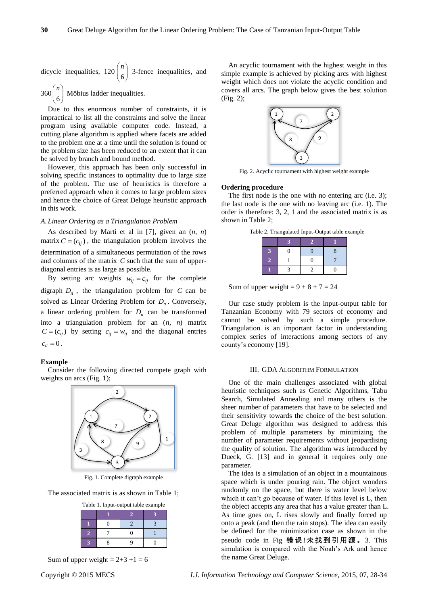dicycle inequalities, 120 
$$
\binom{n}{6}
$$
 3-fence inequalities, and

 $360\binom{6}{ }$  $\begin{pmatrix} 1 \\ 6 \end{pmatrix}$  M obius ladder inequalities.

Due to this enormous number of constraints, it is impractical to list all the constraints and solve the linear program using available computer code. Instead, a cutting plane algorithm is applied where facets are added to the problem one at a time until the solution is found or the problem size has been reduced to an extent that it can be solved by branch and bound method.

However, this approach has been only successful in solving specific instances to optimality due to large size of the problem. The use of heuristics is therefore a preferred approach when it comes to large problem sizes and hence the choice of Great Deluge heuristic approach in this work.

#### *A.Linear Ordering as a Triangulation Problem*

As described by Marti et al in [7], given an (*n, n*) matrix  $C = (c_{ij})$ , the triangulation problem involves the determination of a simultaneous permutation of the rows and columns of the matrix *C* such that the sum of upperdiagonal entries is as large as possible.

By setting arc weights  $w_{ij} = c_{ij}$  for the complete digraph  $D_n$ , the triangulation problem for  $C$  can be solved as Linear Ordering Problem for *Dn* . Conversely, a linear ordering problem for  $D_n$  can be transformed into a triangulation problem for an (*n, n*) matrix  $C = (c_{ij})$  by setting  $c_{ij} = w_{ij}$  and the diagonal entries  $c_{ii} = 0$ .

## **Example**

Consider the following directed compete graph with weights on arcs (Fig. 1);



Fig. 1. Complete digraph example

The associated matrix is as shown in Table 1;

|  | Table 1. Input-output table example |
|--|-------------------------------------|
|--|-------------------------------------|

|    |                   |   | ٣٨ |
|----|-------------------|---|----|
|    | $\mathbf{\Omega}$ |   |    |
| 7. |                   | п |    |
|    |                   |   |    |

Sum of upper weight =  $2+3+1=6$ 

An acyclic tournament with the highest weight in this simple example is achieved by picking arcs with highest weight which does not violate the acyclic condition and covers all arcs. The graph below gives the best solution (Fig. 2);



Fig. 2. Acyclic tournament with highest weight example

# **Ordering procedure**

The first node is the one with no entering arc (i.e. 3): the last node is the one with no leaving arc (i.e. 1). The order is therefore: 3, 2, 1 and the associated matrix is as shown in Table 2;

Table 2. Triangulated Input-Output table example

Sum of upper weight =  $9 + 8 + 7 = 24$ 

Our case study problem is the input-output table for Tanzanian Economy with 79 sectors of economy and cannot be solved by such a simple procedure. Triangulation is an important factor in understanding complex series of interactions among sectors of any county's economy [19].

### III. GDA ALGORITHM FORMULATION

One of the main challenges associated with global heuristic techniques such as Genetic Algorithms, Tabu Search, Simulated Annealing and many others is the sheer number of parameters that have to be selected and their sensitivity towards the choice of the best solution. Great Deluge algorithm was designed to address this problem of multiple parameters by minimizing the number of parameter requirements without jeopardising the quality of solution. The algorithm was introduced by Dueck, G. [13] and in general it requires only one parameter.

The idea is a simulation of an object in a mountainous space which is under pouring rain. The object wonders randomly on the space, but there is water level below which it can't go because of water. If this level is L, then the object accepts any area that has a value greater than L. As time goes on, L rises slowly and finally forced up onto a peak (and then the rain stops). The idea can easily be defined for the minimization case as shown in the pseudo code in Fig 错 误 **!**未 找 到 引用 源 。3. This simulation is compared with the Noah's Ark and hence the name Great Deluge.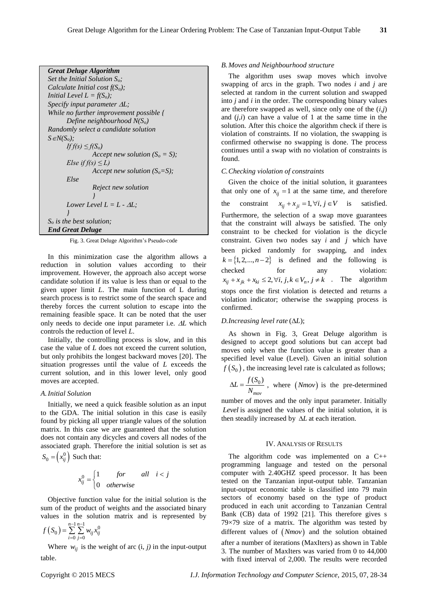```
Great Deluge Algorithm 
Set the Initial Solution So;
Calculate Initial cost f(So);
Initial Level L = f(S_o);
Specify input parameter L; 
While no further improvement possible {
       Define neighbourhood N(So)
Randomly select a candidate solution
S \in N(S_o);
       If f(s) ≤ f(S<sub>o</sub>)
                Accept new solution (S_o = S);
       Else if f(s) \leq L)
                Accept new solution (So=S); 
       Else 
                Reject new solution 
                 }
       Lower Level L = L - \Delta L;
       } 
So is the best solution; 
End Great Deluge
```
Fig. 3. Great Deluge Algorithm's Pseudo-code

In this minimization case the algorithm allows a reduction in solution values according to their improvement. However, the approach also accept worse candidate solution if its value is less than or equal to the given upper limit *L*. The main function of L during search process is to restrict some of the search space and thereby forces the current solution to escape into the remaining feasible space. It can be noted that the user only needs to decide one input parameter i.e.  $\Delta L$  which controls the reduction of level *L*.

Initially, the controlling process is slow, and in this case the value of *L* does not exceed the current solution, but only prohibits the longest backward moves [20]. The situation progresses until the value of *L* exceeds the current solution, and in this lower level, only good moves are accepted.

## *A.Initial Solution*

Initially, we need a quick feasible solution as an input to the GDA. The initial solution in this case is easily found by picking all upper triangle values of the solution matrix. In this case we are guaranteed that the solution does not contain any dicycles and covers all nodes of the associated graph. Therefore the initial solution is set as  $S_0 = \left(x_{ij}^0\right)$  Such that:

$$
x_{ij}^0 = \begin{cases} 1 & \text{for} \quad all \quad i < j \\ 0 & \text{otherwise} \end{cases}
$$

Objective function value for the initial solution is the sum of the product of weights and the associated binary values in the solution matrix and is represented by

$$
f(S_0) = \sum_{i=0}^{n-1} \sum_{j=0}^{n-1} w_{ij} x_{ij}^0
$$

Where  $w_{ij}$  is the weight of arc  $(i, j)$  in the input-output table.

## *B.Moves and Neighbourhood structure*

The algorithm uses swap moves which involve swapping of arcs in the graph. Two nodes *i* and *j* are selected at random in the current solution and swapped into *j* and *i* in the order. The corresponding binary values are therefore swapped as well, since only one of the (*i,j*) and (*j,i*) can have a value of 1 at the same time in the solution. After this choice the algorithm check if there is violation of constraints. If no violation, the swapping is confirmed otherwise no swapping is done. The process continues until a swap with no violation of constraints is found.

## *C.Checking violation of constraints*

Given the choice of the initial solution, it guarantees that only one of  $x_{ij} = 1$  at the same time, and therefore the constraint  $x_{ij} + x_{ji} = 1, \forall i, j \in V$  is satisfied. Furthermore, the selection of a swap move guarantees that the constraint will always be satisfied. The only constraint to be checked for violation is the dicycle constraint. Given two nodes say  $i$  and  $j$  which have been picked randomly for swapping, and index  $k = \{1, 2, ..., n-2\}$  is defined and the following is checked for any violation: 2,  $x_{ij} + x_{jk} + x_{ki} \le 2$ ,  $\forall i, j, k \in V_n, j \ne k$ . The algorithm stops once the first violation is detected and returns a violation indicator; otherwise the swapping process is confirmed.

# $D$ *.Increasing level rate*  $(\Delta L)$ ;

As shown in Fig. 3, Great Deluge algorithm is designed to accept good solutions but can accept bad moves only when the function value is greater than a specified level value (Level). Given an initial solution  $f(S_0)$ , the increasing level rate is calculated as follows;

$$
\Delta L = \frac{f(S_0)}{N_{mov}}
$$
, where  $(Nmov)$  is the pre-determined

number of moves and the only input parameter. Initially *Level* is assigned the values of the initial solution, it is then steadily increased by  $\Delta L$  at each iteration.

#### IV. ANALYSIS OF RESULTS

The algorithm code was implemented on a C++ programming language and tested on the personal computer with 2.40GHZ speed processor. It has been tested on the Tanzanian input-output table. Tanzanian input-output economic table is classified into 79 main sectors of economy based on the type of product produced in each unit according to Tanzanian Central Bank (CB) data of 1992 [21]. This therefore gives s 79 $\times$ 79 size of a matrix. The algorithm was tested by different values of  $(Nmov)$  and the solution obtained after a number of iterations (MaxIters) as shown in Table 3. The number of MaxIters was varied from 0 to 44,000 with fixed interval of 2,000. The results were recorded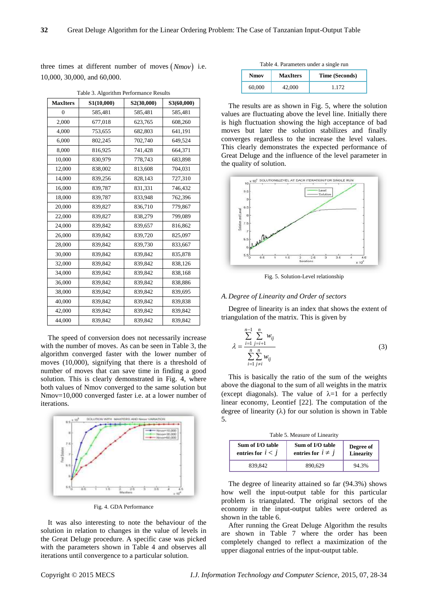three times at different number of moves  $(Nmov)$  i.e. 10,000, 30,000, and 60,000.

| <b>MaxIters</b> | S1(10,000) | S2(30,000) | S3(60,000) |
|-----------------|------------|------------|------------|
| $\overline{0}$  | 585,481    | 585,481    | 585,481    |
| 2,000           | 677,018    | 623,765    | 608,260    |
| 4,000           | 753,655    | 682,803    | 641,191    |
| 6,000           | 802,245    | 702,740    | 649,524    |
| 8,000           | 816,925    | 741,428    | 664,371    |
| 10,000          | 830,979    | 778,743    | 683,898    |
| 12,000          | 838,002    | 813,608    | 704,031    |
| 14,000          | 839,256    | 828,143    | 727,310    |
| 16,000          | 839,787    | 831,331    | 746,432    |
| 18,000          | 839,787    | 833,948    | 762,396    |
| 20,000          | 839,827    | 836,710    | 779,867    |
| 22,000          | 839,827    | 838,279    | 799,089    |
| 24,000          | 839,842    | 839,657    | 816,862    |
| 26,000          | 839,842    | 839,720    | 825,097    |
| 28,000          | 839,842    | 839,730    | 833,667    |
| 30,000          | 839,842    | 839,842    | 835,878    |
| 32,000          | 839,842    | 839,842    | 838,126    |
| 34,000          | 839,842    | 839,842    | 838,168    |
| 36,000          | 839,842    | 839,842    | 838,886    |
| 38,000          | 839,842    | 839,842    | 839,695    |
| 40,000          | 839,842    | 839,842    | 839,838    |
| 42,000          | 839,842    | 839,842    | 839,842    |
| 44,000          | 839,842    | 839,842    | 839,842    |

Table 3. Algorithm Performance Results

The speed of conversion does not necessarily increase with the number of moves. As can be seen in Table 3, the algorithm converged faster with the lower number of moves (10,000), signifying that there is a threshold of number of moves that can save time in finding a good solution. This is clearly demonstrated in Fig. 4, where both values of Nmov converged to the same solution but Nmov=10,000 converged faster i.e. at a lower number of iterations.



Fig. 4. GDA Performance

It was also interesting to note the behaviour of the solution in relation to changes in the value of levels in the Great Deluge procedure. A specific case was picked with the parameters shown in Table 4 and observes all iterations until convergence to a particular solution.

Table 4. Parameters under a single run

| <b>Nmov</b> | <b>MaxIters</b> | Time (Seconds) |
|-------------|-----------------|----------------|
| 60,000      | 42.000          |                |

The results are as shown in Fig. 5, where the solution values are fluctuating above the level line. Initially there is high fluctuation showing the high acceptance of bad moves but later the solution stabilizes and finally converges regardless to the increase the level values. This clearly demonstrates the expected performance of Great Deluge and the influence of the level parameter in the quality of solution.



Fig. 5. Solution-Level relationship

#### *A.Degree of Linearity and Order of sectors*

Degree of linearity is an index that shows the extent of triangulation of the matrix. This is given by

$$
\lambda = \frac{\sum_{i=1}^{n-1} \sum_{j=i+1}^{n} w_{ij}}{\sum_{i=1}^{n} \sum_{j\neq i}^{n} w_{ij}}
$$
(3)

This is basically the ratio of the sum of the weights above the diagonal to the sum of all weights in the matrix (except diagonals). The value of  $\lambda=1$  for a perfectly linear economy, Leontief [22]. The computation of the degree of linearity  $(\lambda)$  for our solution is shown in Table 5.

Table 5. Measure of Linearity

| Sum of I/O table    | Sum of I/O table       | Degree of |
|---------------------|------------------------|-----------|
| entries for $i < j$ | entries for $i \neq j$ | Linearity |
| 839,842             | 890.629                | 94.3%     |

The degree of linearity attained so far (94.3%) shows how well the input-output table for this particular problem is triangulated. The original sectors of the economy in the input-output tables were ordered as shown in the table 6.

After running the Great Deluge Algorithm the results are shown in Table 7 where the order has been completely changed to reflect a maximization of the upper diagonal entries of the input-output table.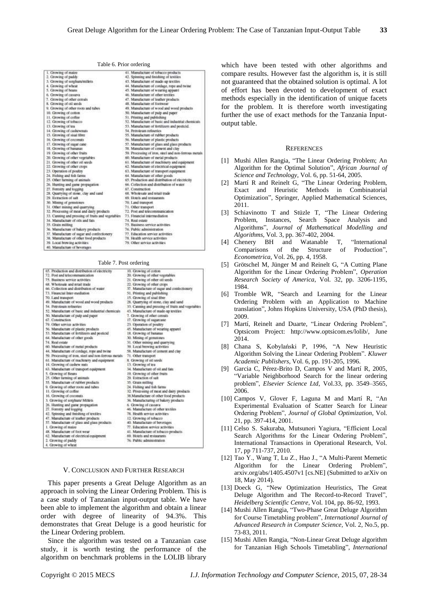| ×.               | ۰,<br>٠                 |
|------------------|-------------------------|
|                  | ×                       |
| ٦<br>I<br>v<br>v | ł<br>I<br>۰.<br>œ<br>۰. |

|  |  | Table 6. Prior ordering |
|--|--|-------------------------|
|--|--|-------------------------|

| 1. Growing of maine                               | 41. Manufacture of tobacco products                  |
|---------------------------------------------------|------------------------------------------------------|
| 2. Growing of paddy                               | 42. Spinning and finishing of textiles.              |
| 3. Growing of sorghum/millets                     | 43. Manufacture of made-up textiles                  |
| 4. Growing of wheat                               | 44. Manufacture of cordage, rope and twine           |
| 5. Growing of beans                               | 45. Manufacture of wearing apparel                   |
| 6. Growing of cassava                             | 46. Manufacture of other textiles                    |
| 7. Growing of other cereals                       | 47. Manufacture of leather products                  |
| 8. Growing of oil seeds                           | 48. Manufacture of footwear                          |
| 9. Growing of other roots and tahes               | 49. Manufacture of wood and wood products            |
| 10. Growing of cotton                             | 50. Manufacture of pulp and paper                    |
| 11. Growing of coffee                             | 51. Printing and publishing                          |
| 12. Growing of Inbacco                            | 52. Manufacture of basic and industrial chemicals.   |
| 13. Growing of tea                                | 53. Manufacture of fertilizers and pesticid.         |
| 14. Growing of cashewnats                         | 54. Petroleum refineries                             |
| 15. Growing of sisal fibre                        | 55. Manufacture of rubber products                   |
| 16. Growing of coccerats                          | 56. Manufacture of plastic products                  |
| 17. Growing of sugar care                         | 57. Manufacture of glass and glass products          |
| 18. Growing of hananas                            | 58. Manufacture of cement and clay                   |
| 19: Growing of other fruits                       | 59. Processing of iron, steel and non-ferrous metals |
| 20. Growing of other vegetables                   | 60. Manufacture of metal products                    |
| 21: Growing of other oil seeds                    | 61. Manufacture of machinery and equipment           |
| 22. Growing of other crops                        | 62. Manufacture of electrical equipment.             |
| 23. Operation of positry                          | 63. Manufacture of transport equipment.              |
| 24. Fishing and fish farms                        | 64. Manufacture of other goods                       |
| 25. Other farming of animals                      | 65. Production and distribution of electricity       |
| 26. Hunting and game propagation                  | 66. Collection and distribution of water             |
| 27. Forestry and logging                          | 67. Construction                                     |
| 28. Quarrying of stone, clay and sand             | 68. Wholesale and retail trade                       |
| 29. Extraction of sait                            | 69. Hotels and restaurants                           |
| 30. Mining of pentstones                          | 70. Land transport                                   |
| 31. Other mining and quarrying                    | 71. Other transport.                                 |
| 32. Processing of meat and dairy products         | 72. Post and telecommunication                       |
| 33. Canning and pressing of fruits and wgstables. | 71. Financial intermediation                         |
| 34. Manufacture of oils and fats                  | 74. Real estate                                      |
| 35. Cleain milling                                | 75. Basiness service activities                      |
| 36. Manufacture of hakery products                | 76. Public administration                            |
| 37. Manufacture of sugar and confectionery        | 77. Education service activities.                    |
| 38. Manufacture of other food products            | 78. Health service activities                        |
| 30. Local browing activities                      | 79. Other service activities                         |
| 40. Manufactum of hoversons                       |                                                      |

#### Table 7. Post ordering

| 65. Production and distribution of electricity        | 10. Growing of cotton                             |
|-------------------------------------------------------|---------------------------------------------------|
| 72. Post and telecommunication                        | 20. Growing of other vagetables                   |
| 75. Business service activities.                      | 21. Growing of other uil seeds                    |
| 68. Wholesale and retail trade                        | 22. Growing of other crops.                       |
| 66. Collection and distribution of water              | 37. Manufacture of sugar and confectionery        |
| 73. Financial Inter-mediation                         | 51. Priming and publishing                        |
| 70. Land transport.                                   | 15. Growing of sisal fibre                        |
| 49. Manufacture of wood and wood products             | 28. Quarrying of sisme, clay and sand             |
| 54. Petroleum refineries                              | 33. Canning and pressing of fruits and vegetables |
| 57. Manufacture of basic and industrial chemicals.    | 43. Matrufacture of made-up textiles              |
| 50. Manufacture of putp and paper                     | 7. Growing of other cereals                       |
| 67. Construction                                      | 17. Growing of sugarcane                          |
| 79. Other service activities                          | 23. Operation of poultry                          |
| 56. Manufacture of plastic products                   | 45. Manufacture of wearing apparell               |
| 53. Manufacture of fertilizers and pesticid-          | 18. Growing of hananas                            |
| 64. Manufactum of other goods                         | 30. Mining of genutones                           |
| 74. Real estate                                       | 31. Other mining and quarrying                    |
| 60. Manufactum of metal products                      | 99. Local hrewing activities                      |
| 44. Manufacture of cordage, rope and twine            | 58. Manufacture of cement and clay                |
| 59. Processing of iron, steel and non-ferrous metals. | 71. Other transport                               |
| 61. Manufacture of machinery and equipment            | 8. Growing of oil seeds                           |
| 14. Growing of cashew nuts                            | 13. Growing of tea                                |
| 63. Manufacture of transport equipment                | 34. Manufacture of oil and fata.                  |
| 5. Growing of Beans                                   | 19. Growing of other fruits                       |
| 25. Other farming of animals                          | 20. Extraction of salt                            |
| 55. Manufacture of rubber products                    | 35. Grain milling                                 |
| 9. Growing of other roots and tabes                   | 24. Fishing and fish farms                        |
| 11. Growing of coffee                                 | 32. Processing of meat and dairy products         |
| 16. Growing of coconuts.                              | 38. Manufacture of other food products            |
| 3. Growing of sorghum/ Milliets                       | 36. Manufacturing of bakery products              |
| 26. Hunting and game propagation                      | 6. Growing of cassava                             |
| 27. Forestry and logging                              | 46. Manufacture of other textiles                 |
| 42. Spinning and finishing of textiles:               | 78. Health service activities                     |
| 47. Manufacture of leather products                   | 12. Growing of tobacco                            |
| 57. Manufacture of plass and plass products           | 40. Manufacture of beverages                      |
| 1. Growing of mains                                   | 77. Education service activities                  |
| 48. Manufacture of foot wear                          | 41. Manufacture of tobacco products               |
| 62. Manufacture of electrical equipment               | 69. Hotels and restaurants                        |
| 2. Growing of paddy                                   | 76. Public administration                         |
| 4. Growing of wheat                                   |                                                   |

#### V. CONCLUSION AND FURTHER RESEARCH

This paper presents a Great Deluge Algorithm as an approach in solving the Linear Ordering Problem. This is a case study of Tanzanian input-output table. We have been able to implement the algorithm and obtain a linear order with degree of linearity of 94.3%. This demonstrates that Great Deluge is a good heuristic for the Linear Ordering problem.

Since the algorithm was tested on a Tanzanian case study, it is worth testing the performance of the algorithm on benchmark problems in the LOLIB library which have been tested with other algorithms and compare results. However fast the algorithm is, it is still not guaranteed that the obtained solution is optimal. A lot of effort has been devoted to development of exact methods especially in the identification of unique facets for the problem. It is therefore worth investigating further the use of exact methods for the Tanzania Inputoutput table.

#### **REFERENCES**

- [1] Mushi Allen Rangia, "The Linear Ordering Problem; An Algorithm for the Optimal Solution", *African Journal of Science and Technology,* Vol. 6, pp. 51-64, 2005.
- [2] Martí R and Reinelt G, "The Linear Ordering Problem, Exact and Heuristic Methods in Combinatorial Optimization", Springer, Applied Mathematical Sciences, 2011.
- [3] Schiavinotto T and Stüzle T, "The Linear Ordering Problem, Instances, Search Space Analysis and Algorithms", *Journal of Mathematical Modelling and Algorithms,* Vol. 3, pp. 367-402, 2004.
- [4] Chenery BH and Watanable T, "International Comparisons of the Structure of Production", *Econometrica*, Vol. 26, pp. 4, 1958.
- [5] Grötschel M, Jünger M and Reinelt G, "A Cutting Plane Algorithm for the Linear Ordering Problem", *Operation Research Society of America*, Vol. 32, pp. 3206-1195, 1984.
- [6] Tromble WR, "Search and Learning for the Linear Ordering Problem with an Application to Machine translation", Johns Hopkins University, USA (PhD thesis), 2009.
- [7] Mart í Reinelt and Duarte, "Linear Ordering Problem", Optsicom Project: [http://www.optsicom.es/lolib/,](http://www.optsicom.es/lolib/) June 2014.
- [8] Chana S, Kobylański P, 1996, "A New Heuristic Algorithm Solving the Linear Ordering Problem". *Kluwer Academic Publishers,* Vol. 6, pp. 191-205, 1996.
- [9] Garcia C, Pérez-Brito D, Campos V and MartíR, 2005, "Variable Neighborhood Search for the linear ordering problem", *Elsevier Science Ltd*, Vol.33, pp. 3549–3565, 2006.
- [10] Campos V, Glover F, Laguna M and MartíR, "An Experimental Evaluation of Scatter Search for Linear Ordering Problem", *Journal of Global Optimization*, Vol. 21, pp. 397-414, 2001.
- [11] Celso S. Sakuraba, Mutsunori Yagiura, "Efficient Local Search Algorithms for the Linear Ordering Problem", International Transactions in Operational Research, Vol. 17, pp 711-737, 2010.
- [12] Tao Y., Wang T, Lu Z., Hao J., "A Multi-Parent Memetic Algorithm for the Linear Ordering Problem", arxiv.org/abs/1405.4507v1 [cs.NE] (Submitted to arXiv on 18, May 2014).
- [13] Doeck G, "New Optimization Heuristics, The Great Deluge Algorithm and The Record-to-Record Travel", *Heidelberg Scientific Centre,* Vol. 104, pp. 86-92, 1993.
- [14] Mushi Allen Rangia, "Two-Phase Great Deluge Algorithm for Course Timetabling problem", *International Journal of Advanced Research in Computer Science,* Vol. 2, No.5, pp. 73-83, 2011.
- [15] Mushi Allen Rangia, "Non-Linear Great Deluge algorithm for Tanzanian High Schools Timetabling", *International*